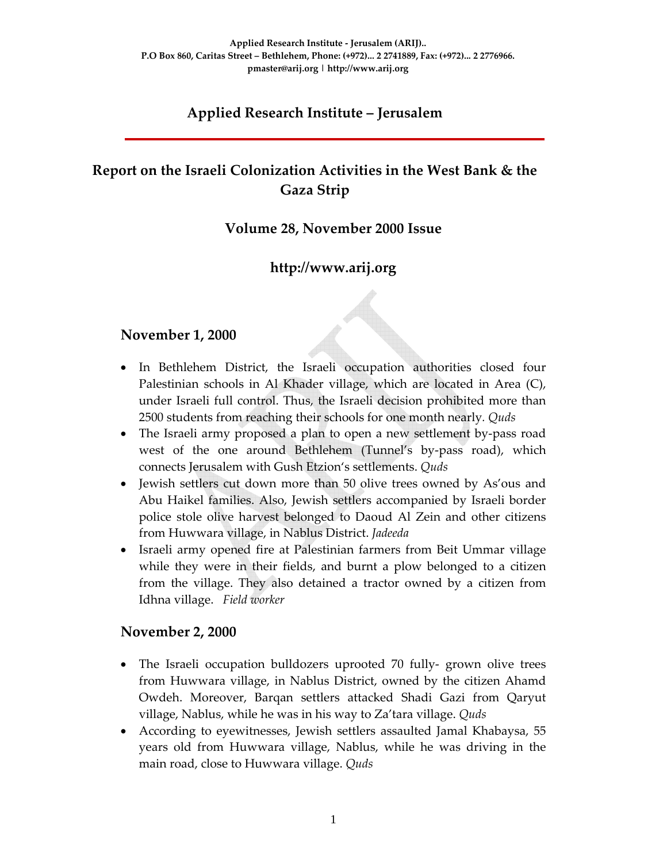# **Applied Research Institute – Jerusalem**

# **Report on the Israeli Colonization Activities in the West Bank & the Gaza Strip**

## **Volume 28, November 2000 Issue**

## **http://www.arij.org**

#### **November 1, 2000**

- In Bethlehem District, the Israeli occupation authorities closed four Palestinian schools in Al Khader village, which are located in Area (C), under Israeli full control. Thus, the Israeli decision prohibited more than 2500 students from reaching their schools for one month nearly*. Quds*
- The Israeli army proposed a plan to open a new settlement by-pass road west of the one around Bethlehem (Tunnel's by-pass road), which connects Jerusalem with Gush Etzion's settlements. *Quds*
- Jewish settlers cut down more than 50 olive trees owned by As'ous and Abu Haikel families. Also, Jewish settlers accompanied by Israeli border police stole olive harvest belonged to Daoud Al Zein and other citizens from Huwwara village, in Nablus District. *Jadeeda*
- Israeli army opened fire at Palestinian farmers from Beit Ummar village while they were in their fields, and burnt a plow belonged to a citizen from the village. They also detained a tractor owned by a citizen from Idhna village. *Field worker*

#### **November 2, 2000**

- The Israeli occupation bulldozers uprooted 70 fully- grown olive trees from Huwwara village, in Nablus District, owned by the citizen Ahamd Owdeh. Moreover, Barqan settlers attacked Shadi Gazi from Qaryut village, Nablus, while he was in his way to Za'tara village. *Quds*
- According to eyewitnesses, Jewish settlers assaulted Jamal Khabaysa, 55 years old from Huwwara village, Nablus, while he was driving in the main road, close to Huwwara village. *Quds*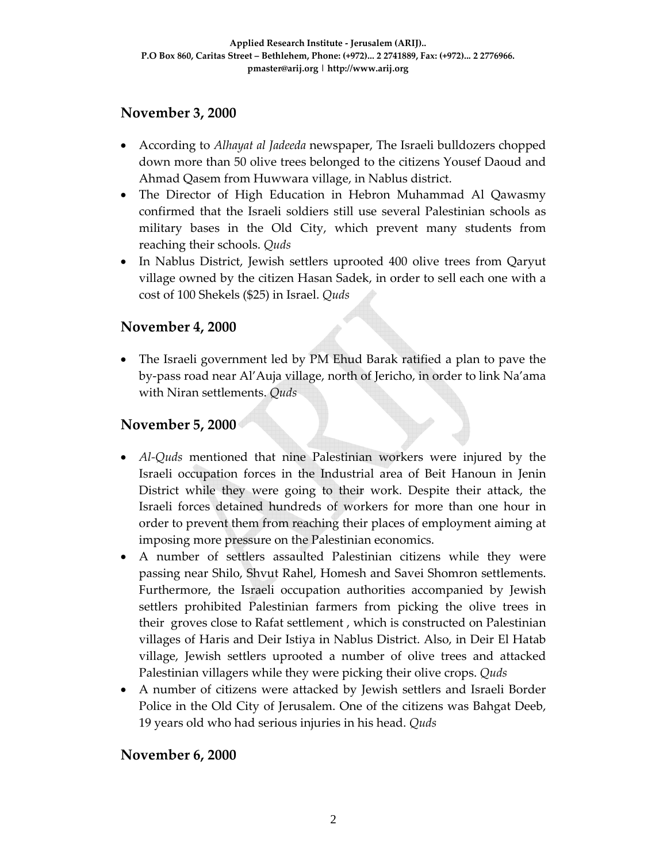## **November 3, 2000**

- According to *Alhayat al Jadeeda* newspaper, The Israeli bulldozers chopped down more than 50 olive trees belonged to the citizens Yousef Daoud and Ahmad Qasem from Huwwara village, in Nablus district.
- The Director of High Education in Hebron Muhammad Al Qawasmy confirmed that the Israeli soldiers still use several Palestinian schools as military bases in the Old City, which prevent many students from reaching their schools. *Quds*
- In Nablus District, Jewish settlers uprooted 400 olive trees from Qaryut village owned by the citizen Hasan Sadek, in order to sell each one with a cost of 100 Shekels (\$25) in Israel. *Quds*

## **November 4, 2000**

• The Israeli government led by PM Ehud Barak ratified a plan to pave the by‐pass road near Al'Auja village, north of Jericho, in order to link Na'ama with Niran settlements. *Quds*

## **November 5, 2000**

- *Al-Quds* mentioned that nine Palestinian workers were injured by the Israeli occupation forces in the Industrial area of Beit Hanoun in Jenin District while they were going to their work. Despite their attack, the Israeli forces detained hundreds of workers for more than one hour in order to prevent them from reaching their places of employment aiming at imposing more pressure on the Palestinian economics.
- A number of settlers assaulted Palestinian citizens while they were passing near Shilo, Shvut Rahel, Homesh and Savei Shomron settlements. Furthermore, the Israeli occupation authorities accompanied by Jewish settlers prohibited Palestinian farmers from picking the olive trees in their groves close to Rafat settlement , which is constructed on Palestinian villages of Haris and Deir Istiya in Nablus District. Also, in Deir El Hatab village, Jewish settlers uprooted a number of olive trees and attacked Palestinian villagers while they were picking their olive crops. *Quds*
- A number of citizens were attacked by Jewish settlers and Israeli Border Police in the Old City of Jerusalem. One of the citizens was Bahgat Deeb, 19 years old who had serious injuries in his head. *Quds*

#### **November 6, 2000**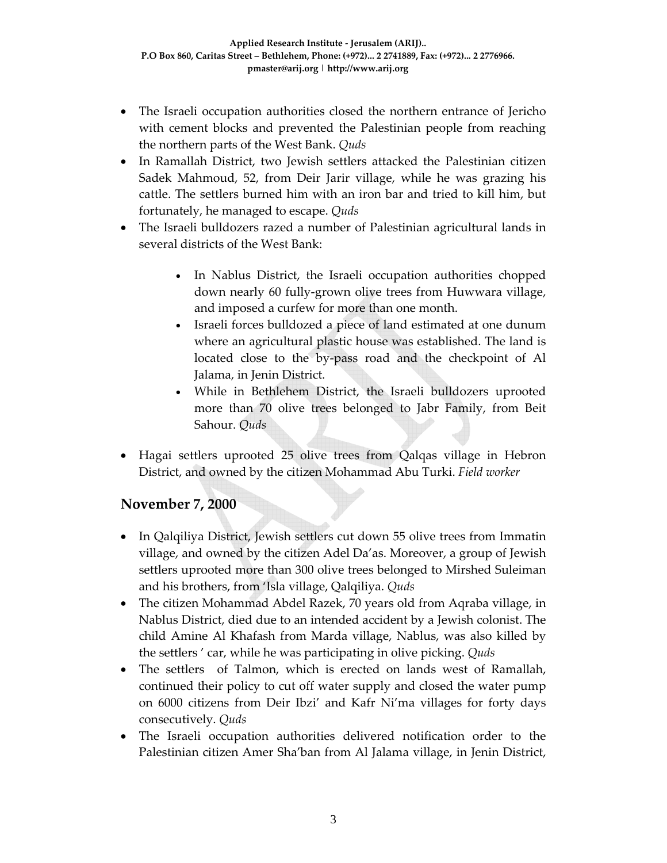- The Israeli occupation authorities closed the northern entrance of Jericho with cement blocks and prevented the Palestinian people from reaching the northern parts of the West Bank. *Quds*
- In Ramallah District, two Jewish settlers attacked the Palestinian citizen Sadek Mahmoud, 52, from Deir Jarir village, while he was grazing his cattle. The settlers burned him with an iron bar and tried to kill him, but fortunately, he managed to escape. *Quds*
- The Israeli bulldozers razed a number of Palestinian agricultural lands in several districts of the West Bank:
	- In Nablus District, the Israeli occupation authorities chopped down nearly 60 fully‐grown olive trees from Huwwara village, and imposed a curfew for more than one month.
	- Israeli forces bulldozed a piece of land estimated at one dunum where an agricultural plastic house was established. The land is located close to the by‐pass road and the checkpoint of Al Jalama, in Jenin District.
	- While in Bethlehem District, the Israeli bulldozers uprooted more than 70 olive trees belonged to Jabr Family, from Beit Sahour. *Quds*
- Hagai settlers uprooted 25 olive trees from Qalqas village in Hebron District, and owned by the citizen Mohammad Abu Turki. *Field worker*

# **November 7, 2000**

- In Qalqiliya District, Jewish settlers cut down 55 olive trees from Immatin village, and owned by the citizen Adel Da'as. Moreover, a group of Jewish settlers uprooted more than 300 olive trees belonged to Mirshed Suleiman and his brothers, from 'Isla village, Qalqiliya. *Quds*
- The citizen Mohammad Abdel Razek, 70 years old from Aqraba village, in Nablus District, died due to an intended accident by a Jewish colonist. The child Amine Al Khafash from Marda village, Nablus, was also killed by the settlers ' car, while he was participating in olive picking. *Quds*
- The settlers of Talmon, which is erected on lands west of Ramallah, continued their policy to cut off water supply and closed the water pump on 6000 citizens from Deir Ibzi' and Kafr Ni'ma villages for forty days consecutively. *Quds*
- The Israeli occupation authorities delivered notification order to the Palestinian citizen Amer Sha'ban from Al Jalama village, in Jenin District,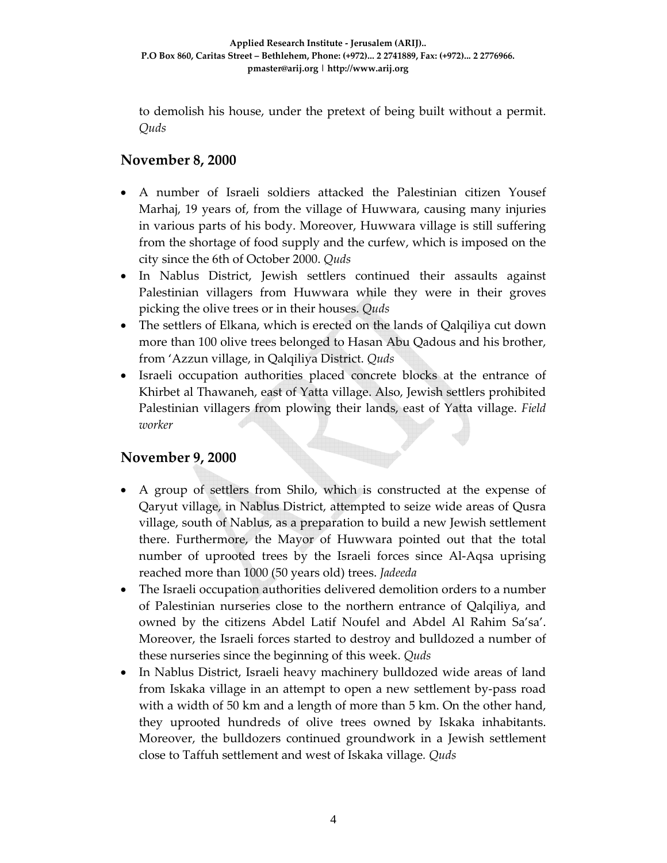to demolish his house, under the pretext of being built without a permit. *Quds*

## **November 8, 2000**

- A number of Israeli soldiers attacked the Palestinian citizen Yousef Marhaj, 19 years of, from the village of Huwwara, causing many injuries in various parts of his body. Moreover, Huwwara village is still suffering from the shortage of food supply and the curfew, which is imposed on the city since the 6th of October 2000. *Quds*
- In Nablus District, Jewish settlers continued their assaults against Palestinian villagers from Huwwara while they were in their groves picking the olive trees or in their houses. *Quds*
- The settlers of Elkana, which is erected on the lands of Qalqiliya cut down more than 100 olive trees belonged to Hasan Abu Qadous and his brother, from 'Azzun village, in Qalqiliya District. *Quds*
- Israeli occupation authorities placed concrete blocks at the entrance of Khirbet al Thawaneh, east of Yatta village. Also, Jewish settlers prohibited Palestinian villagers from plowing their lands, east of Yatta village. *Field worker*

## **November 9, 2000**

- A group of settlers from Shilo, which is constructed at the expense of Qaryut village, in Nablus District, attempted to seize wide areas of Qusra village, south of Nablus, as a preparation to build a new Jewish settlement there. Furthermore, the Mayor of Huwwara pointed out that the total number of uprooted trees by the Israeli forces since Al‐Aqsa uprising reached more than 1000 (50 years old) trees. *Jadeeda*
- The Israeli occupation authorities delivered demolition orders to a number of Palestinian nurseries close to the northern entrance of Qalqiliya, and owned by the citizens Abdel Latif Noufel and Abdel Al Rahim Sa'sa'. Moreover, the Israeli forces started to destroy and bulldozed a number of these nurseries since the beginning of this week. *Quds*
- In Nablus District, Israeli heavy machinery bulldozed wide areas of land from Iskaka village in an attempt to open a new settlement by‐pass road with a width of 50 km and a length of more than 5 km. On the other hand, they uprooted hundreds of olive trees owned by Iskaka inhabitants. Moreover, the bulldozers continued groundwork in a Jewish settlement close to Taffuh settlement and west of Iskaka village*. Quds*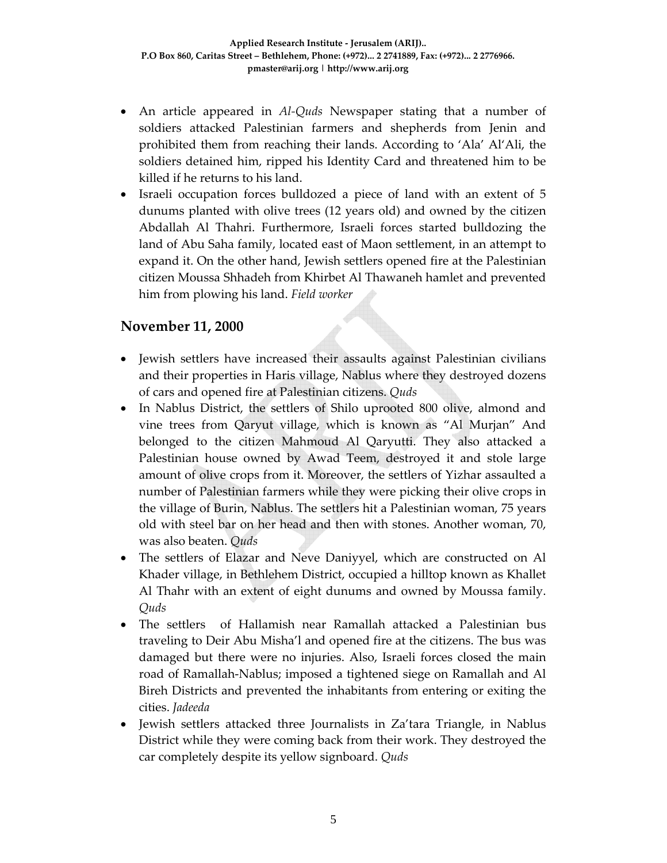- An article appeared in *Al‐Quds* Newspaper stating that a number of soldiers attacked Palestinian farmers and shepherds from Jenin and prohibited them from reaching their lands. According to 'Ala' Al'Ali, the soldiers detained him, ripped his Identity Card and threatened him to be killed if he returns to his land.
- Israeli occupation forces bulldozed a piece of land with an extent of 5 dunums planted with olive trees (12 years old) and owned by the citizen Abdallah Al Thahri. Furthermore, Israeli forces started bulldozing the land of Abu Saha family, located east of Maon settlement, in an attempt to expand it. On the other hand, Jewish settlers opened fire at the Palestinian citizen Moussa Shhadeh from Khirbet Al Thawaneh hamlet and prevented him from plowing his land. *Field worker*

#### **November 11, 2000**

- Jewish settlers have increased their assaults against Palestinian civilians and their properties in Haris village, Nablus where they destroyed dozens of cars and opened fire at Palestinian citizens. *Quds*
- In Nablus District, the settlers of Shilo uprooted 800 olive, almond and vine trees from Qaryut village, which is known as "Al Murjan" And belonged to the citizen Mahmoud Al Qaryutti. They also attacked a Palestinian house owned by Awad Teem, destroyed it and stole large amount of olive crops from it. Moreover, the settlers of Yizhar assaulted a number of Palestinian farmers while they were picking their olive crops in the village of Burin, Nablus. The settlers hit a Palestinian woman, 75 years old with steel bar on her head and then with stones. Another woman, 70, was also beaten. *Quds*
- The settlers of Elazar and Neve Daniyyel, which are constructed on Al Khader village, in Bethlehem District, occupied a hilltop known as Khallet Al Thahr with an extent of eight dunums and owned by Moussa family. *Quds*
- The settlers of Hallamish near Ramallah attacked a Palestinian bus traveling to Deir Abu Misha'l and opened fire at the citizens. The bus was damaged but there were no injuries. Also, Israeli forces closed the main road of Ramallah‐Nablus; imposed a tightened siege on Ramallah and Al Bireh Districts and prevented the inhabitants from entering or exiting the cities. *Jadeeda*
- Jewish settlers attacked three Journalists in Za'tara Triangle, in Nablus District while they were coming back from their work. They destroyed the car completely despite its yellow signboard. *Quds*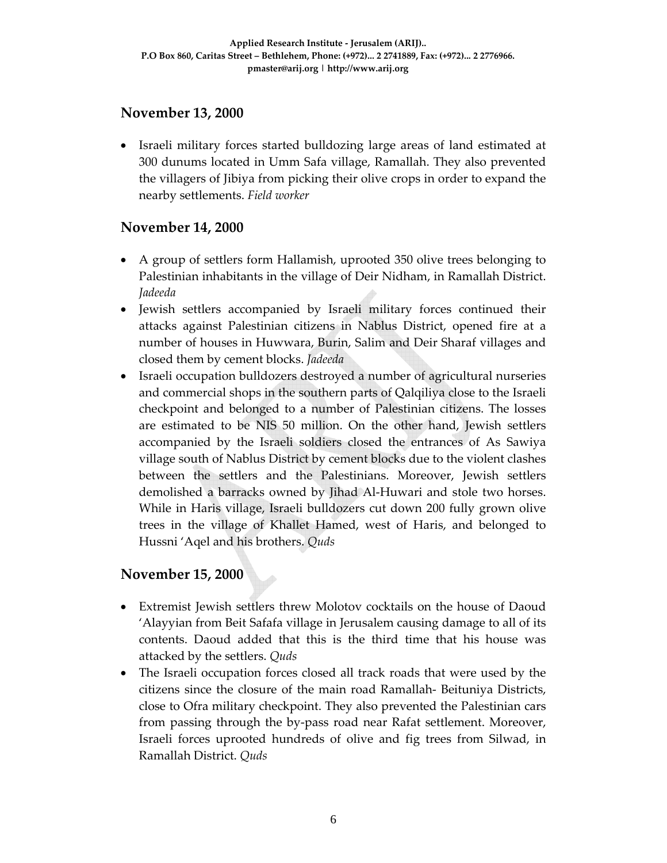## **November 13, 2000**

• Israeli military forces started bulldozing large areas of land estimated at 300 dunums located in Umm Safa village, Ramallah. They also prevented the villagers of Jibiya from picking their olive crops in order to expand the nearby settlements. *Field worker*

## **November 14, 2000**

- A group of settlers form Hallamish, uprooted 350 olive trees belonging to Palestinian inhabitants in the village of Deir Nidham, in Ramallah District. *Jadeeda*
- Jewish settlers accompanied by Israeli military forces continued their attacks against Palestinian citizens in Nablus District, opened fire at a number of houses in Huwwara, Burin, Salim and Deir Sharaf villages and closed them by cement blocks. *Jadeeda*
- Israeli occupation bulldozers destroyed a number of agricultural nurseries and commercial shops in the southern parts of Qalqiliya close to the Israeli checkpoint and belonged to a number of Palestinian citizens. The losses are estimated to be NIS 50 million. On the other hand, Jewish settlers accompanied by the Israeli soldiers closed the entrances of As Sawiya village south of Nablus District by cement blocks due to the violent clashes between the settlers and the Palestinians. Moreover, Jewish settlers demolished a barracks owned by Jihad Al‐Huwari and stole two horses. While in Haris village, Israeli bulldozers cut down 200 fully grown olive trees in the village of Khallet Hamed, west of Haris, and belonged to Hussni 'Aqel and his brothers. *Quds*

## **November 15, 2000**

- Extremist Jewish settlers threw Molotov cocktails on the house of Daoud 'Alayyian from Beit Safafa village in Jerusalem causing damage to all of its contents. Daoud added that this is the third time that his house was attacked by the settlers. *Quds*
- The Israeli occupation forces closed all track roads that were used by the citizens since the closure of the main road Ramallah‐ Beituniya Districts, close to Ofra military checkpoint. They also prevented the Palestinian cars from passing through the by‐pass road near Rafat settlement. Moreover, Israeli forces uprooted hundreds of olive and fig trees from Silwad, in Ramallah District. *Quds*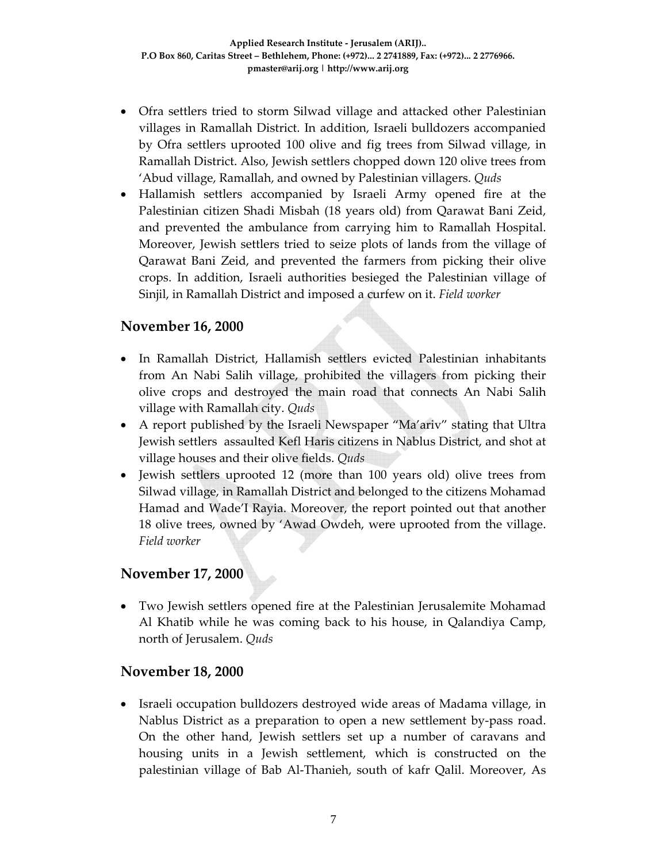- Ofra settlers tried to storm Silwad village and attacked other Palestinian villages in Ramallah District. In addition, Israeli bulldozers accompanied by Ofra settlers uprooted 100 olive and fig trees from Silwad village, in Ramallah District. Also, Jewish settlers chopped down 120 olive trees from 'Abud village, Ramallah, and owned by Palestinian villagers. *Quds*
- Hallamish settlers accompanied by Israeli Army opened fire at the Palestinian citizen Shadi Misbah (18 years old) from Qarawat Bani Zeid, and prevented the ambulance from carrying him to Ramallah Hospital. Moreover, Jewish settlers tried to seize plots of lands from the village of Qarawat Bani Zeid, and prevented the farmers from picking their olive crops. In addition, Israeli authorities besieged the Palestinian village of Sinjil, in Ramallah District and imposed a curfew on it. *Field worker*

#### **November 16, 2000**

- In Ramallah District, Hallamish settlers evicted Palestinian inhabitants from An Nabi Salih village, prohibited the villagers from picking their olive crops and destroyed the main road that connects An Nabi Salih village with Ramallah city. *Quds*
- A report published by the Israeli Newspaper "Ma'ariv" stating that Ultra Jewish settlers assaulted Kefl Haris citizens in Nablus District, and shot at village houses and their olive fields. *Quds*
- Jewish settlers uprooted 12 (more than 100 years old) olive trees from Silwad village, in Ramallah District and belonged to the citizens Mohamad Hamad and Wade'I Rayia. Moreover, the report pointed out that another 18 olive trees, owned by 'Awad Owdeh, were uprooted from the village. *Field worker*

## **November 17, 2000**

• Two Jewish settlers opened fire at the Palestinian Jerusalemite Mohamad Al Khatib while he was coming back to his house, in Qalandiya Camp, north of Jerusalem. *Quds*

#### **November 18, 2000**

• Israeli occupation bulldozers destroyed wide areas of Madama village, in Nablus District as a preparation to open a new settlement by‐pass road. On the other hand, Jewish settlers set up a number of caravans and housing units in a Jewish settlement, which is constructed on the palestinian village of Bab Al‐Thanieh, south of kafr Qalil. Moreover, As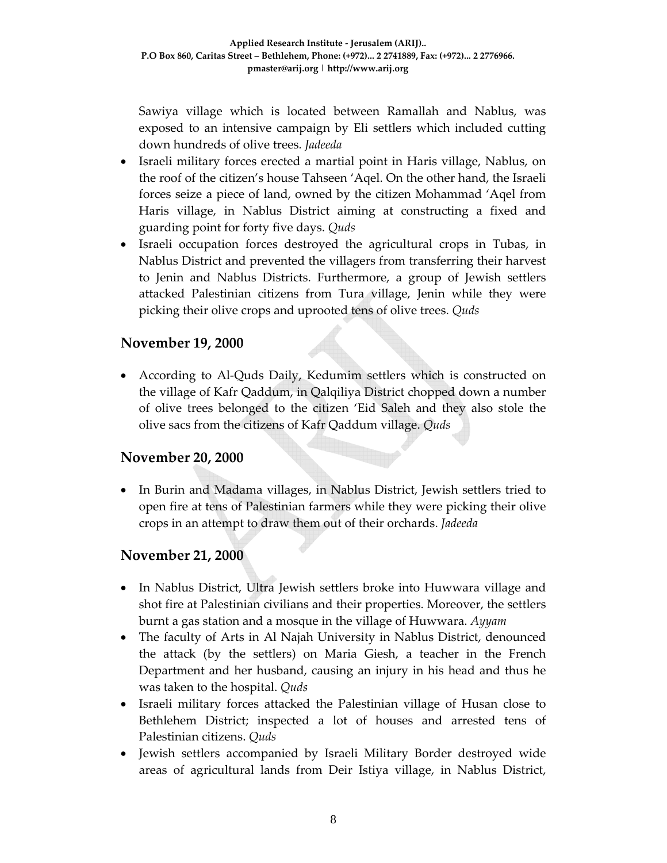Sawiya village which is located between Ramallah and Nablus, was exposed to an intensive campaign by Eli settlers which included cutting down hundreds of olive trees*. Jadeeda*

- Israeli military forces erected a martial point in Haris village, Nablus, on the roof of the citizen's house Tahseen 'Aqel. On the other hand, the Israeli forces seize a piece of land, owned by the citizen Mohammad 'Aqel from Haris village, in Nablus District aiming at constructing a fixed and guarding point for forty five days. *Quds*
- Israeli occupation forces destroyed the agricultural crops in Tubas, in Nablus District and prevented the villagers from transferring their harvest to Jenin and Nablus Districts. Furthermore, a group of Jewish settlers attacked Palestinian citizens from Tura village, Jenin while they were picking their olive crops and uprooted tens of olive trees. *Quds*

#### **November 19, 2000**

• According to Al-Quds Daily, Kedumim settlers which is constructed on the village of Kafr Qaddum, in Qalqiliya District chopped down a number of olive trees belonged to the citizen 'Eid Saleh and they also stole the olive sacs from the citizens of Kafr Qaddum village. *Quds*

#### **November 20, 2000**

• In Burin and Madama villages, in Nablus District, Jewish settlers tried to open fire at tens of Palestinian farmers while they were picking their olive crops in an attempt to draw them out of their orchards. *Jadeeda*

## **November 21, 2000**

- In Nablus District, Ultra Jewish settlers broke into Huwwara village and shot fire at Palestinian civilians and their properties. Moreover, the settlers burnt a gas station and a mosque in the village of Huwwara. *Ayyam*
- The faculty of Arts in Al Najah University in Nablus District, denounced the attack (by the settlers) on Maria Giesh, a teacher in the French Department and her husband, causing an injury in his head and thus he was taken to the hospital. *Quds*
- Israeli military forces attacked the Palestinian village of Husan close to Bethlehem District; inspected a lot of houses and arrested tens of Palestinian citizens. *Quds*
- Jewish settlers accompanied by Israeli Military Border destroyed wide areas of agricultural lands from Deir Istiya village, in Nablus District,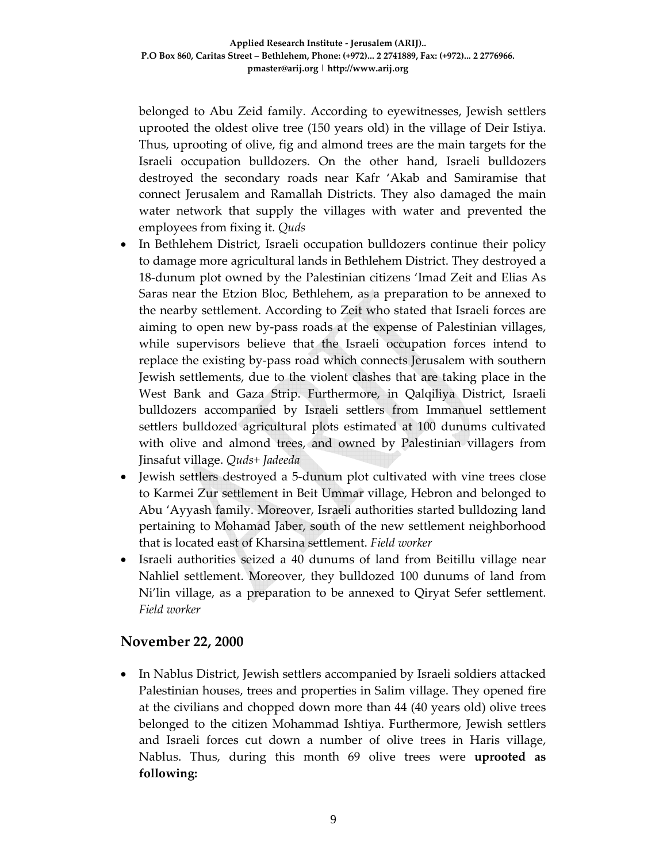belonged to Abu Zeid family. According to eyewitnesses, Jewish settlers uprooted the oldest olive tree (150 years old) in the village of Deir Istiya. Thus, uprooting of olive, fig and almond trees are the main targets for the Israeli occupation bulldozers. On the other hand, Israeli bulldozers destroyed the secondary roads near Kafr 'Akab and Samiramise that connect Jerusalem and Ramallah Districts. They also damaged the main water network that supply the villages with water and prevented the employees from fixing it. *Quds*

- In Bethlehem District, Israeli occupation bulldozers continue their policy to damage more agricultural lands in Bethlehem District. They destroyed a 18‐dunum plot owned by the Palestinian citizens 'Imad Zeit and Elias As Saras near the Etzion Bloc, Bethlehem, as a preparation to be annexed to the nearby settlement. According to Zeit who stated that Israeli forces are aiming to open new by‐pass roads at the expense of Palestinian villages, while supervisors believe that the Israeli occupation forces intend to replace the existing by-pass road which connects Jerusalem with southern Jewish settlements, due to the violent clashes that are taking place in the West Bank and Gaza Strip. Furthermore, in Qalqiliya District, Israeli bulldozers accompanied by Israeli settlers from Immanuel settlement settlers bulldozed agricultural plots estimated at 100 dunums cultivated with olive and almond trees, and owned by Palestinian villagers from Jinsafut village. *Quds+ Jadeeda*
- Jewish settlers destroyed a 5-dunum plot cultivated with vine trees close to Karmei Zur settlement in Beit Ummar village, Hebron and belonged to Abu 'Ayyash family. Moreover, Israeli authorities started bulldozing land pertaining to Mohamad Jaber, south of the new settlement neighborhood that is located east of Kharsina settlement. *Field worker*
- Israeli authorities seized a 40 dunums of land from Beitillu village near Nahliel settlement. Moreover, they bulldozed 100 dunums of land from Ni'lin village, as a preparation to be annexed to Qiryat Sefer settlement. *Field worker*

#### **November 22, 2000**

• In Nablus District, Jewish settlers accompanied by Israeli soldiers attacked Palestinian houses, trees and properties in Salim village. They opened fire at the civilians and chopped down more than 44 (40 years old) olive trees belonged to the citizen Mohammad Ishtiya. Furthermore, Jewish settlers and Israeli forces cut down a number of olive trees in Haris village, Nablus. Thus, during this month 69 olive trees were **uprooted as following:**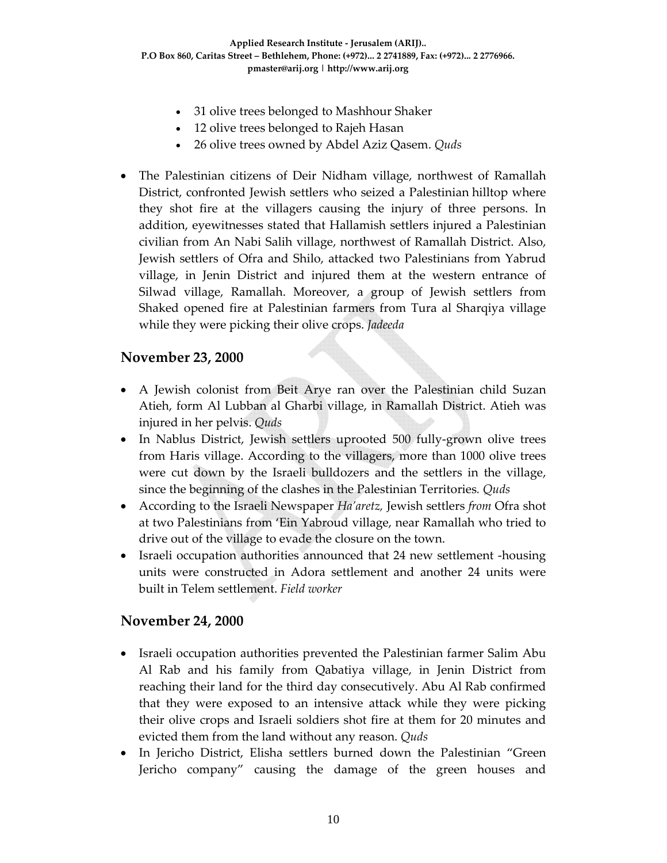- 31 olive trees belonged to Mashhour Shaker
- 12 olive trees belonged to Rajeh Hasan
- 26 olive trees owned by Abdel Aziz Qasem. *Quds*
- The Palestinian citizens of Deir Nidham village, northwest of Ramallah District, confronted Jewish settlers who seized a Palestinian hilltop where they shot fire at the villagers causing the injury of three persons. In addition, eyewitnesses stated that Hallamish settlers injured a Palestinian civilian from An Nabi Salih village, northwest of Ramallah District. Also, Jewish settlers of Ofra and Shilo, attacked two Palestinians from Yabrud village, in Jenin District and injured them at the western entrance of Silwad village, Ramallah. Moreover, a group of Jewish settlers from Shaked opened fire at Palestinian farmers from Tura al Sharqiya village while they were picking their olive crops. *Jadeeda*

#### **November 23, 2000**

- A Jewish colonist from Beit Arye ran over the Palestinian child Suzan Atieh, form Al Lubban al Gharbi village, in Ramallah District. Atieh was injured in her pelvis. *Quds*
- In Nablus District, Jewish settlers uprooted 500 fully-grown olive trees from Haris village. According to the villagers, more than 1000 olive trees were cut down by the Israeli bulldozers and the settlers in the village, since the beginning of the clashes in the Palestinian Territories*. Quds*
- According to the Israeli Newspaper *Ha'aretz,* Jewish settlers *from* Ofra shot at two Palestinians from 'Ein Yabroud village, near Ramallah who tried to drive out of the village to evade the closure on the town.
- Israeli occupation authorities announced that 24 new settlement -housing units were constructed in Adora settlement and another 24 units were built in Telem settlement. *Field worker*

#### **November 24, 2000**

- Israeli occupation authorities prevented the Palestinian farmer Salim Abu Al Rab and his family from Qabatiya village, in Jenin District from reaching their land for the third day consecutively. Abu Al Rab confirmed that they were exposed to an intensive attack while they were picking their olive crops and Israeli soldiers shot fire at them for 20 minutes and evicted them from the land without any reason. *Quds*
- In Jericho District, Elisha settlers burned down the Palestinian "Green Jericho company" causing the damage of the green houses and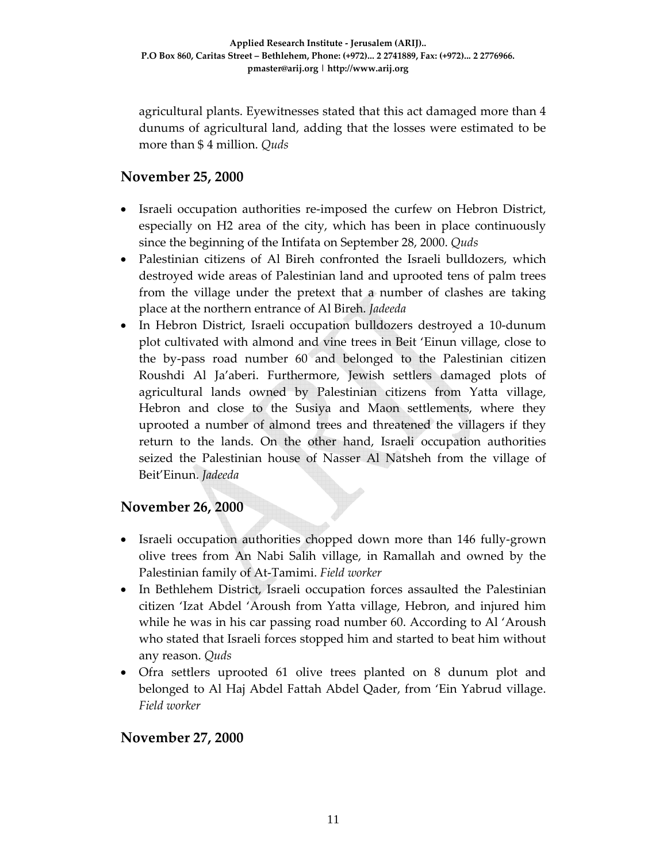agricultural plants. Eyewitnesses stated that this act damaged more than 4 dunums of agricultural land, adding that the losses were estimated to be more than \$ 4 million. *Quds*

## **November 25, 2000**

- Israeli occupation authorities re-imposed the curfew on Hebron District, especially on H2 area of the city, which has been in place continuously since the beginning of the Intifata on September 28, 2000. *Quds*
- Palestinian citizens of Al Bireh confronted the Israeli bulldozers, which destroyed wide areas of Palestinian land and uprooted tens of palm trees from the village under the pretext that a number of clashes are taking place at the northern entrance of Al Bireh. *Jadeeda*
- In Hebron District, Israeli occupation bulldozers destroyed a 10-dunum plot cultivated with almond and vine trees in Beit 'Einun village, close to the by‐pass road number 60 and belonged to the Palestinian citizen Roushdi Al Ja'aberi. Furthermore, Jewish settlers damaged plots of agricultural lands owned by Palestinian citizens from Yatta village, Hebron and close to the Susiya and Maon settlements, where they uprooted a number of almond trees and threatened the villagers if they return to the lands. On the other hand, Israeli occupation authorities seized the Palestinian house of Nasser Al Natsheh from the village of Beit'Einun. *Jadeeda*

## **November 26, 2000**

- Israeli occupation authorities chopped down more than 146 fully-grown olive trees from An Nabi Salih village, in Ramallah and owned by the Palestinian family of At‐Tamimi. *Field worker*
- In Bethlehem District, Israeli occupation forces assaulted the Palestinian citizen 'Izat Abdel 'Aroush from Yatta village, Hebron, and injured him while he was in his car passing road number 60. According to Al 'Aroush who stated that Israeli forces stopped him and started to beat him without any reason. *Quds*
- Ofra settlers uprooted 61 olive trees planted on 8 dunum plot and belonged to Al Haj Abdel Fattah Abdel Qader, from 'Ein Yabrud village. *Field worker*

## **November 27, 2000**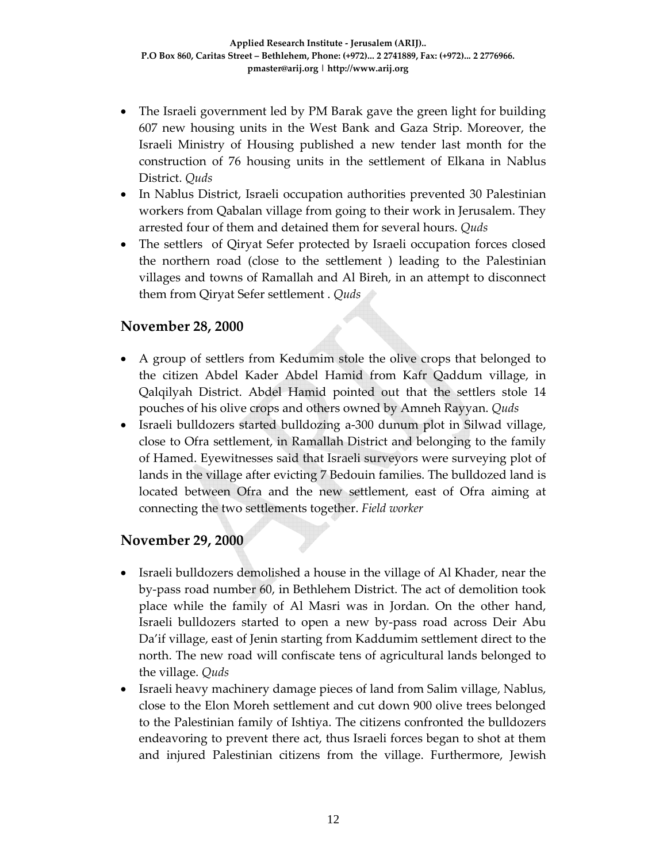- The Israeli government led by PM Barak gave the green light for building 607 new housing units in the West Bank and Gaza Strip. Moreover, the Israeli Ministry of Housing published a new tender last month for the construction of 76 housing units in the settlement of Elkana in Nablus District. *Quds*
- In Nablus District, Israeli occupation authorities prevented 30 Palestinian workers from Qabalan village from going to their work in Jerusalem. They arrested four of them and detained them for several hours. *Quds*
- The settlers of Qiryat Sefer protected by Israeli occupation forces closed the northern road (close to the settlement ) leading to the Palestinian villages and towns of Ramallah and Al Bireh, in an attempt to disconnect them from Qiryat Sefer settlement . *Quds*

## **November 28, 2000**

- A group of settlers from Kedumim stole the olive crops that belonged to the citizen Abdel Kader Abdel Hamid from Kafr Qaddum village, in Qalqilyah District. Abdel Hamid pointed out that the settlers stole 14 pouches of his olive crops and others owned by Amneh Rayyan. *Quds*
- Israeli bulldozers started bulldozing a‐300 dunum plot in Silwad village, close to Ofra settlement, in Ramallah District and belonging to the family of Hamed. Eyewitnesses said that Israeli surveyors were surveying plot of lands in the village after evicting 7 Bedouin families. The bulldozed land is located between Ofra and the new settlement, east of Ofra aiming at connecting the two settlements together. *Field worker*

## **November 29, 2000**

- Israeli bulldozers demolished a house in the village of Al Khader, near the by‐pass road number 60, in Bethlehem District. The act of demolition took place while the family of Al Masri was in Jordan. On the other hand, Israeli bulldozers started to open a new by‐pass road across Deir Abu Da'if village, east of Jenin starting from Kaddumim settlement direct to the north. The new road will confiscate tens of agricultural lands belonged to the village. *Quds*
- Israeli heavy machinery damage pieces of land from Salim village, Nablus, close to the Elon Moreh settlement and cut down 900 olive trees belonged to the Palestinian family of Ishtiya. The citizens confronted the bulldozers endeavoring to prevent there act, thus Israeli forces began to shot at them and injured Palestinian citizens from the village. Furthermore, Jewish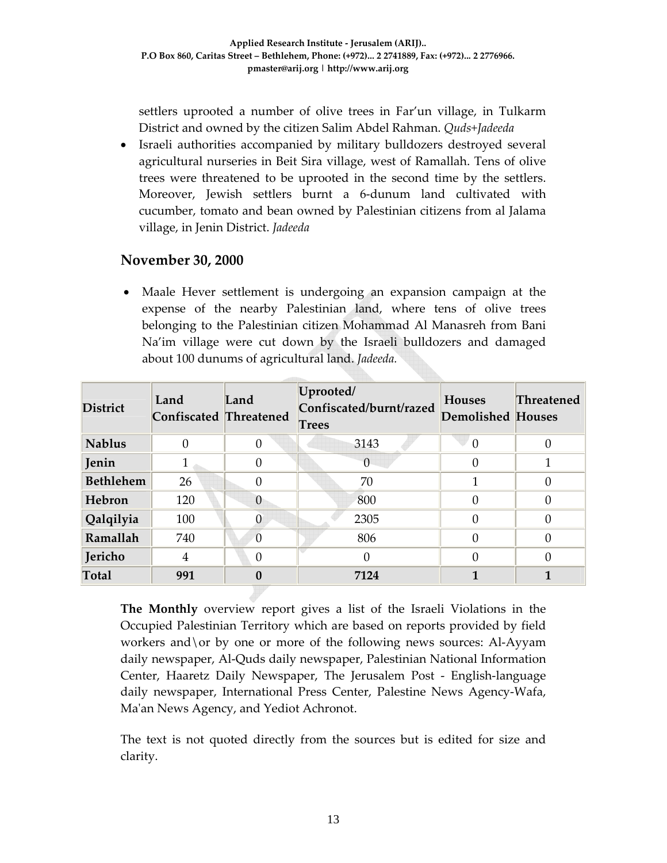settlers uprooted a number of olive trees in Far'un village, in Tulkarm District and owned by the citizen Salim Abdel Rahman. *Quds+Jadeeda*

• Israeli authorities accompanied by military bulldozers destroyed several agricultural nurseries in Beit Sira village, west of Ramallah. Tens of olive trees were threatened to be uprooted in the second time by the settlers. Moreover, Jewish settlers burnt a 6‐dunum land cultivated with cucumber, tomato and bean owned by Palestinian citizens from al Jalama village, in Jenin District. *Jadeeda*

#### **November 30, 2000**

• Maale Hever settlement is undergoing an expansion campaign at the expense of the nearby Palestinian land, where tens of olive trees belonging to the Palestinian citizen Mohammad Al Manasreh from Bani Na'im village were cut down by the Israeli bulldozers and damaged about 100 dunums of agricultural land. *Jadeeda.*

| <b>District</b>  | Land<br><b>Confiscated Threatened</b> | Land             | Uprooted/<br>Confiscated/burnt/razed<br>Trees | <b>Houses</b><br><b>Demolished Houses</b> | <b>Threatened</b> |
|------------------|---------------------------------------|------------------|-----------------------------------------------|-------------------------------------------|-------------------|
| <b>Nablus</b>    |                                       | $\theta$         | 3143                                          | $\Omega$                                  | $\mathbf{0}$      |
| Jenin            |                                       | $\Omega$         | $\theta$                                      | 0                                         |                   |
| <b>Bethlehem</b> | 26                                    | 0                | 70                                            |                                           |                   |
| Hebron           | 120                                   | $\overline{0}$   | 800                                           | $\Omega$                                  |                   |
| Qalqilyia        | 100                                   | $\boldsymbol{0}$ | 2305                                          | 0                                         |                   |
| Ramallah         | 740                                   | $\theta$         | 806                                           | 0                                         |                   |
| Jericho          | 4                                     | $\overline{0}$   |                                               | 0                                         | 0                 |
| Total            | 991                                   | 0                | 7124                                          |                                           |                   |

**The Monthly** overview report gives a list of the Israeli Violations in the Occupied Palestinian Territory which are based on reports provided by field workers and\or by one or more of the following news sources: Al‐Ayyam daily newspaper, Al‐Quds daily newspaper, Palestinian National Information Center, Haaretz Daily Newspaper, The Jerusalem Post ‐ English‐language daily newspaper, International Press Center, Palestine News Agency‐Wafa, Ma'an News Agency, and Yediot Achronot.

The text is not quoted directly from the sources but is edited for size and clarity.